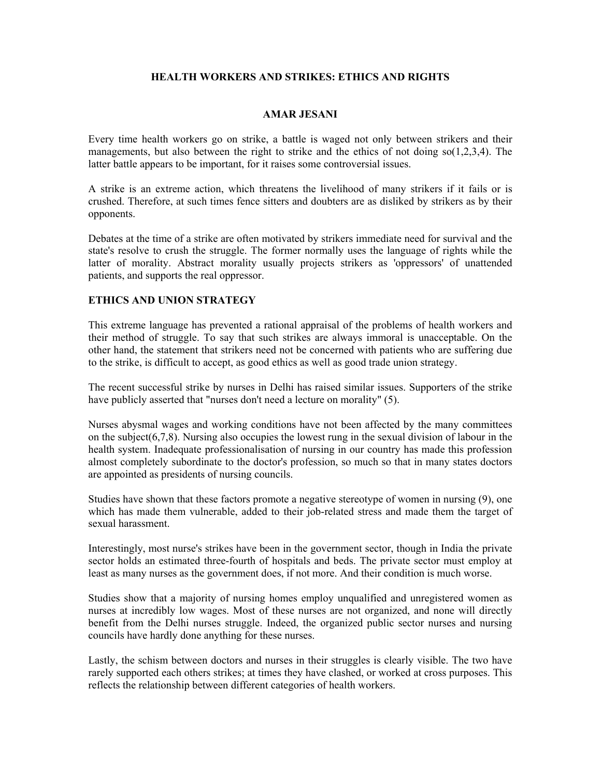## **HEALTH WORKERS AND STRIKES: ETHICS AND RIGHTS**

### **AMAR JESANI**

Every time health workers go on strike, a battle is waged not only between strikers and their managements, but also between the right to strike and the ethics of not doing so(1,2,3,4). The latter battle appears to be important, for it raises some controversial issues.

A strike is an extreme action, which threatens the livelihood of many strikers if it fails or is crushed. Therefore, at such times fence sitters and doubters are as disliked by strikers as by their opponents.

Debates at the time of a strike are often motivated by strikers immediate need for survival and the state's resolve to crush the struggle. The former normally uses the language of rights while the latter of morality. Abstract morality usually projects strikers as 'oppressors' of unattended patients, and supports the real oppressor.

#### **ETHICS AND UNION STRATEGY**

This extreme language has prevented a rational appraisal of the problems of health workers and their method of struggle. To say that such strikes are always immoral is unacceptable. On the other hand, the statement that strikers need not be concerned with patients who are suffering due to the strike, is difficult to accept, as good ethics as well as good trade union strategy.

The recent successful strike by nurses in Delhi has raised similar issues. Supporters of the strike have publicly asserted that "nurses don't need a lecture on morality" (5).

Nurses abysmal wages and working conditions have not been affected by the many committees on the subject(6,7,8). Nursing also occupies the lowest rung in the sexual division of labour in the health system. Inadequate professionalisation of nursing in our country has made this profession almost completely subordinate to the doctor's profession, so much so that in many states doctors are appointed as presidents of nursing councils.

Studies have shown that these factors promote a negative stereotype of women in nursing (9), one which has made them vulnerable, added to their job-related stress and made them the target of sexual harassment.

Interestingly, most nurse's strikes have been in the government sector, though in India the private sector holds an estimated three-fourth of hospitals and beds. The private sector must employ at least as many nurses as the government does, if not more. And their condition is much worse.

Studies show that a majority of nursing homes employ unqualified and unregistered women as nurses at incredibly low wages. Most of these nurses are not organized, and none will directly benefit from the Delhi nurses struggle. Indeed, the organized public sector nurses and nursing councils have hardly done anything for these nurses.

Lastly, the schism between doctors and nurses in their struggles is clearly visible. The two have rarely supported each others strikes; at times they have clashed, or worked at cross purposes. This reflects the relationship between different categories of health workers.